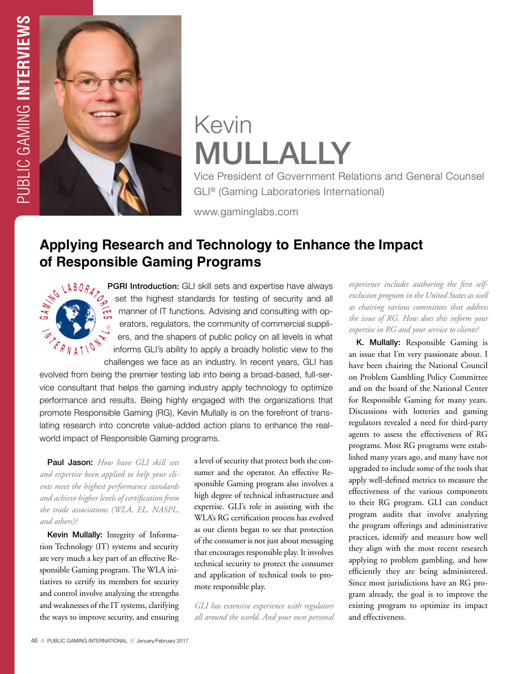

# Kevin MULLALLY

Vice President of Government Relations and General Counsel GLI® (Gaming Laboratories International)

www.gaminglabs.com

## **Applying Research and Technology to Enhance the Impact of Responsible Gaming Programs**



PGRI Introduction: GLI skill sets and expertise have always set the highest standards for testing of security and all manner of IT functions. Advising and consulting with operators, regulators, the community of commercial suppliers, and the shapers of public policy on all levels is what informs GLI's ability to apply a broadly holistic view to the challenges we face as an industry. In recent years, GLI has

evolved from being the premier testing lab into being a broad-based, full-service consultant that helps the gaming industry apply technology to optimize performance and results. Being highly engaged with the organizations that promote Responsible Gaming (RG), Kevin Mullally is on the forefront of translating research into concrete value-added action plans to enhance the realworld impact of Responsible Gaming programs.

Paul Jason: *How have GLI skill sets and expertise been applied to help your clients meet the highest performance standards and achieve higher levels of certification from the trade associations (WLA, EL, NASPL, and others)?*

Kevin Mullally: Integrity of Information Technology (IT) systems and security are very much a key part of an effective Responsible Gaming program. The WLA initiatives to certify its members for security and control involve analyzing the strengths and weaknesses of the IT systems, clarifying the ways to improve security, and ensuring a level of security that protect both the consumer and the operator. An effective Responsible Gaming program also involves a high degree of technical infrastructure and expertise. GLI's role in assisting with the WLA's RG certification process has evolved as our clients began to see that protection of the consumer is not just about messaging that encourages responsible play. It involves technical security to protect the consumer and application of technical tools to promote responsible play.

*GLI has extensive experience with regulators all around the world. And your own personal*  *experience includes authoring the first selfexclusion program in the United States as well as chairing various committees that address the issue of RG. How does this inform your expertise in RG and your service to clients?*

K. Mullally: Responsible Gaming is an issue that I'm very passionate about. I have been chairing the National Council on Problem Gambling Policy Committee and on the board of the National Center for Responsible Gaming for many years. Discussions with lotteries and gaming regulators revealed a need for third-party agents to assess the effectiveness of RG programs. Most RG programs were established many years ago, and many have not upgraded to include some of the tools that apply well-defined metrics to measure the effectiveness of the various components to their RG program. GLI can conduct program audits that involve analyzing the program offerings and administrative practices, identify and measure how well they align with the most recent research applying to problem gambling, and how efficiently they are being administered. Since most jurisdictions have an RG program already, the goal is to improve the existing program to optimize its impact and effectiveness.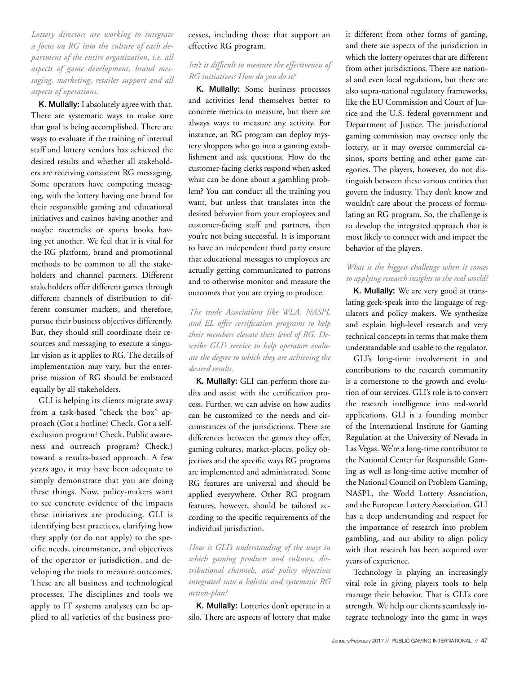*Lottery directors are working to integrate a focus on RG into the culture of each department of the entire organization, i.e. all aspects of game development, brand messaging, marketing, retailer support and all aspects of operations.*

K. Mullally: I absolutely agree with that. There are systematic ways to make sure that goal is being accomplished. There are ways to evaluate if the training of internal staff and lottery vendors has achieved the desired results and whether all stakeholders are receiving consistent RG messaging. Some operators have competing messaging, with the lottery having one brand for their responsible gaming and educational initiatives and casinos having another and maybe racetracks or sports books having yet another. We feel that it is vital for the RG platform, brand and promotional methods to be common to all the stakeholders and channel partners. Different stakeholders offer different games through different channels of distribution to different consumer markets, and therefore, pursue their business objectives differently. But, they should still coordinate their resources and messaging to execute a singular vision as it applies to RG. The details of implementation may vary, but the enterprise mission of RG should be embraced equally by all stakeholders.

GLI is helping its clients migrate away from a task-based "check the box" approach (Got a hotline? Check. Got a selfexclusion program? Check. Public awareness and outreach program? Check.) toward a results-based approach. A few years ago, it may have been adequate to simply demonstrate that you are doing these things. Now, policy-makers want to see concrete evidence of the impacts these initiatives are producing. GLI is identifying best practices, clarifying how they apply (or do not apply) to the specific needs, circumstance, and objectives of the operator or jurisdiction, and developing the tools to measure outcomes. These are all business and technological processes. The disciplines and tools we apply to IT systems analyses can be applied to all varieties of the business processes, including those that support an effective RG program.

#### *Isn't it difficult to measure the effectiveness of RG initiatives? How do you do it?*

K. Mullally: Some business processes and activities lend themselves better to concrete metrics to measure, but there are always ways to measure any activity. For instance, an RG program can deploy mystery shoppers who go into a gaming establishment and ask questions. How do the customer-facing clerks respond when asked what can be done about a gambling problem? You can conduct all the training you want, but unless that translates into the desired behavior from your employees and customer-facing staff and partners, then you're not being successful. It is important to have an independent third party ensure that educational messages to employees are actually getting communicated to patrons and to otherwise monitor and measure the outcomes that you are trying to produce.

*The trade Associations like WLA, NASPL and EL offer certification programs to help their members elevate their level of RG. Describe GLI's service to help operators evaluate the degree to which they are achieving the desired results.*

K. Mullally: GLI can perform those audits and assist with the certification process. Further, we can advise on how audits can be customized to the needs and circumstances of the jurisdictions. There are differences between the games they offer, gaming cultures, market-places, policy objectives and the specific ways RG programs are implemented and administrated. Some RG features are universal and should be applied everywhere. Other RG program features, however, should be tailored according to the specific requirements of the individual jurisdiction.

*How is GLI's understanding of the ways in which gaming products and cultures, distributional channels, and policy objectives integrated into a holistic and systematic RG action-plan?* 

K. Mullally: Lotteries don't operate in a silo. There are aspects of lottery that make it different from other forms of gaming, and there are aspects of the jurisdiction in which the lottery operates that are different from other jurisdictions. There are national and even local regulations, but there are also supra-national regulatory frameworks, like the EU Commission and Court of Justice and the U.S. federal government and Department of Justice. The jurisdictional gaming commission may oversee only the lottery, or it may oversee commercial casinos, sports betting and other game categories. The players, however, do not distinguish between these various entities that govern the industry. They don't know and wouldn't care about the process of formulating an RG program. So, the challenge is to develop the integrated approach that is most likely to connect with and impact the behavior of the players.

#### *What is the biggest challenge when it comes to applying research insights to the real world?*

K. Mullally: We are very good at translating geek-speak into the language of regulators and policy makers. We synthesize and explain high-level research and very technical concepts in terms that make them understandable and usable to the regulator.

GLI's long-time involvement in and contributions to the research community is a cornerstone to the growth and evolution of our services. GLI's role is to convert the research intelligence into real-world applications. GLI is a founding member of the International Institute for Gaming Regulation at the University of Nevada in Las Vegas. We're a long-time contributor to the National Center for Responsible Gaming as well as long-time active member of the National Council on Problem Gaming, NASPL, the World Lottery Association, and the European Lottery Association. GLI has a deep understanding and respect for the importance of research into problem gambling, and our ability to align policy with that research has been acquired over years of experience.

Technology is playing an increasingly vital role in giving players tools to help manage their behavior. That is GLI's core strength. We help our clients seamlessly integrate technology into the game in ways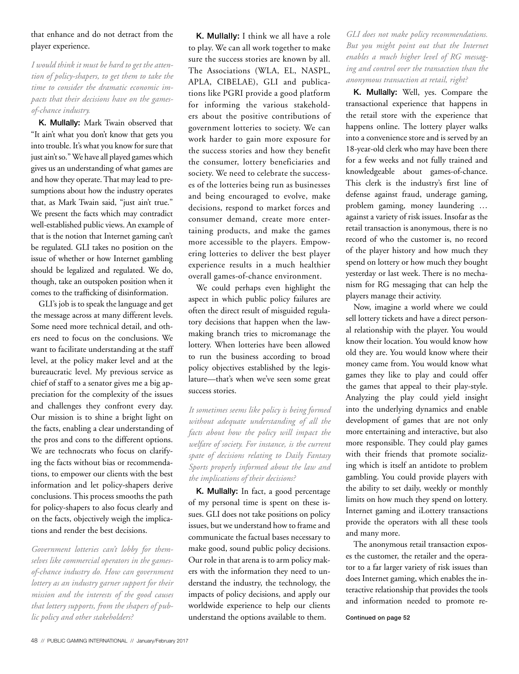#### that enhance and do not detract from the player experience.

*I would think it must be hard to get the attention of policy-shapers, to get them to take the time to consider the dramatic economic impacts that their decisions have on the gamesof-chance industry.* 

K. Mullally: Mark Twain observed that "It ain't what you don't know that gets you into trouble. It's what you know for sure that just ain't so." We have all played games which gives us an understanding of what games are and how they operate. That may lead to presumptions about how the industry operates that, as Mark Twain said, "just ain't true." We present the facts which may contradict well-established public views. An example of that is the notion that Internet gaming can't be regulated. GLI takes no position on the issue of whether or how Internet gambling should be legalized and regulated. We do, though, take an outspoken position when it comes to the trafficking of disinformation.

GLI's job is to speak the language and get the message across at many different levels. Some need more technical detail, and others need to focus on the conclusions. We want to facilitate understanding at the staff level, at the policy maker level and at the bureaucratic level. My previous service as chief of staff to a senator gives me a big appreciation for the complexity of the issues and challenges they confront every day. Our mission is to shine a bright light on the facts, enabling a clear understanding of the pros and cons to the different options. We are technocrats who focus on clarifying the facts without bias or recommendations, to empower our clients with the best information and let policy-shapers derive conclusions. This process smooths the path for policy-shapers to also focus clearly and on the facts, objectively weigh the implications and render the best decisions.

*Government lotteries can't lobby for themselves like commercial operators in the gamesof-chance industry do. How can government lottery as an industry garner support for their mission and the interests of the good causes that lottery supports, from the shapers of public policy and other stakeholders?* 

K. Mullally: I think we all have a role to play. We can all work together to make sure the success stories are known by all. The Associations (WLA, EL, NASPL, APLA, CIBELAE), GLI and publications like PGRI provide a good platform for informing the various stakeholders about the positive contributions of government lotteries to society. We can work harder to gain more exposure for the success stories and how they benefit the consumer, lottery beneficiaries and society. We need to celebrate the successes of the lotteries being run as businesses and being encouraged to evolve, make decisions, respond to market forces and consumer demand, create more entertaining products, and make the games more accessible to the players. Empowering lotteries to deliver the best player experience results in a much healthier overall games-of-chance environment.

We could perhaps even highlight the aspect in which public policy failures are often the direct result of misguided regulatory decisions that happen when the lawmaking branch tries to micromanage the lottery. When lotteries have been allowed to run the business according to broad policy objectives established by the legislature—that's when we've seen some great success stories.

*It sometimes seems like policy is being formed without adequate understanding of all the facts about how the policy will impact the welfare of society. For instance, is the current spate of decisions relating to Daily Fantasy Sports properly informed about the law and the implications of their decisions?* 

K. Mullally: In fact, a good percentage of my personal time is spent on these issues. GLI does not take positions on policy issues, but we understand how to frame and communicate the factual bases necessary to make good, sound public policy decisions. Our role in that arena is to arm policy makers with the information they need to understand the industry, the technology, the impacts of policy decisions, and apply our worldwide experience to help our clients understand the options available to them.

*GLI does not make policy recommendations. But you might point out that the Internet enables a much higher level of RG messaging and control over the transaction than the anonymous transaction at retail, right?* 

K. Mullally: Well, yes. Compare the transactional experience that happens in the retail store with the experience that happens online. The lottery player walks into a convenience store and is served by an 18-year-old clerk who may have been there for a few weeks and not fully trained and knowledgeable about games-of-chance. This clerk is the industry's first line of defense against fraud, underage gaming, problem gaming, money laundering … against a variety of risk issues. Insofar as the retail transaction is anonymous, there is no record of who the customer is, no record of the player history and how much they spend on lottery or how much they bought yesterday or last week. There is no mechanism for RG messaging that can help the players manage their activity.

Now, imagine a world where we could sell lottery tickets and have a direct personal relationship with the player. You would know their location. You would know how old they are. You would know where their money came from. You would know what games they like to play and could offer the games that appeal to their play-style. Analyzing the play could yield insight into the underlying dynamics and enable development of games that are not only more entertaining and interactive, but also more responsible. They could play games with their friends that promote socializing which is itself an antidote to problem gambling. You could provide players with the ability to set daily, weekly or monthly limits on how much they spend on lottery. Internet gaming and iLottery transactions provide the operators with all these tools and many more.

The anonymous retail transaction exposes the customer, the retailer and the operator to a far larger variety of risk issues than does Internet gaming, which enables the interactive relationship that provides the tools and information needed to promote re-

Continued on page 52